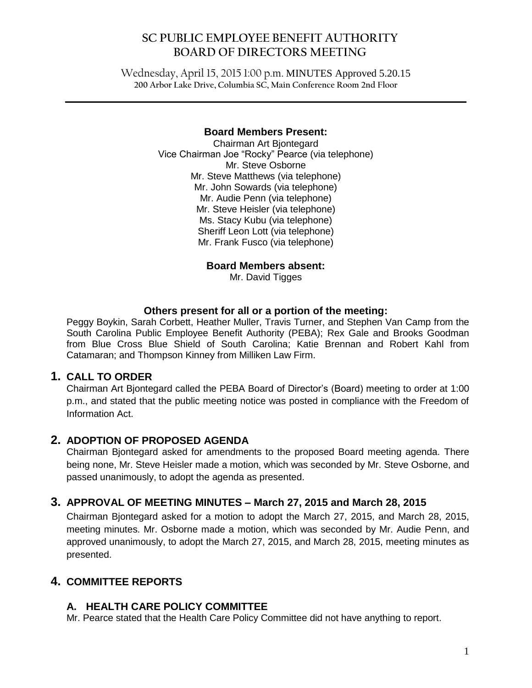# **SC PUBLIC EMPLOYEE BENEFIT AUTHORITY BOARD OF DIRECTORS MEETING**

Wednesday, April 15, 2015 1:00 p.m. MINUTES Approved 5.20.15 **200 Arbor Lake Drive, Columbia SC, Main Conference Room 2nd Floor**

 $\mathcal{L}_\mathcal{L} = \mathcal{L}_\mathcal{L} = \mathcal{L}_\mathcal{L} = \mathcal{L}_\mathcal{L} = \mathcal{L}_\mathcal{L} = \mathcal{L}_\mathcal{L} = \mathcal{L}_\mathcal{L} = \mathcal{L}_\mathcal{L} = \mathcal{L}_\mathcal{L} = \mathcal{L}_\mathcal{L} = \mathcal{L}_\mathcal{L} = \mathcal{L}_\mathcal{L} = \mathcal{L}_\mathcal{L} = \mathcal{L}_\mathcal{L} = \mathcal{L}_\mathcal{L} = \mathcal{L}_\mathcal{L} = \mathcal{L}_\mathcal{L}$ 

#### **Board Members Present:**

Chairman Art Bjontegard Vice Chairman Joe "Rocky" Pearce (via telephone) Mr. Steve Osborne Mr. Steve Matthews (via telephone) Mr. John Sowards (via telephone) Mr. Audie Penn (via telephone) Mr. Steve Heisler (via telephone) Ms. Stacy Kubu (via telephone) Sheriff Leon Lott (via telephone) Mr. Frank Fusco (via telephone)

**Board Members absent:**

Mr. David Tigges

#### **Others present for all or a portion of the meeting:**

Peggy Boykin, Sarah Corbett, Heather Muller, Travis Turner, and Stephen Van Camp from the South Carolina Public Employee Benefit Authority (PEBA); Rex Gale and Brooks Goodman from Blue Cross Blue Shield of South Carolina; Katie Brennan and Robert Kahl from Catamaran; and Thompson Kinney from Milliken Law Firm.

#### **1. CALL TO ORDER**

Chairman Art Bjontegard called the PEBA Board of Director's (Board) meeting to order at 1:00 p.m., and stated that the public meeting notice was posted in compliance with the Freedom of Information Act.

### **2. ADOPTION OF PROPOSED AGENDA**

Chairman Bjontegard asked for amendments to the proposed Board meeting agenda. There being none, Mr. Steve Heisler made a motion, which was seconded by Mr. Steve Osborne, and passed unanimously, to adopt the agenda as presented.

# **3. APPROVAL OF MEETING MINUTES – March 27, 2015 and March 28, 2015**

Chairman Bjontegard asked for a motion to adopt the March 27, 2015, and March 28, 2015, meeting minutes. Mr. Osborne made a motion, which was seconded by Mr. Audie Penn, and approved unanimously, to adopt the March 27, 2015, and March 28, 2015, meeting minutes as presented.

# **4. COMMITTEE REPORTS**

# **A. HEALTH CARE POLICY COMMITTEE**

Mr. Pearce stated that the Health Care Policy Committee did not have anything to report.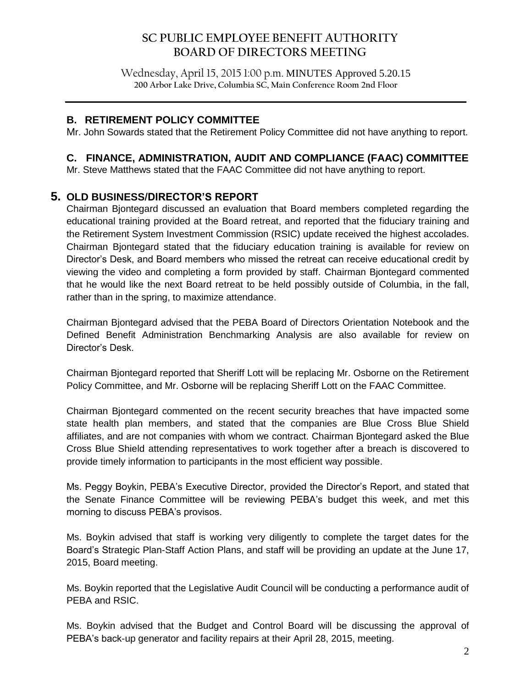# **SC PUBLIC EMPLOYEE BENEFIT AUTHORITY BOARD OF DIRECTORS MEETING**

Wednesday, April 15, 2015 1:00 p.m. MINUTES Approved 5.20.15 **200 Arbor Lake Drive, Columbia SC, Main Conference Room 2nd Floor**

 $\mathcal{L}_\mathcal{L} = \mathcal{L}_\mathcal{L} = \mathcal{L}_\mathcal{L} = \mathcal{L}_\mathcal{L} = \mathcal{L}_\mathcal{L} = \mathcal{L}_\mathcal{L} = \mathcal{L}_\mathcal{L} = \mathcal{L}_\mathcal{L} = \mathcal{L}_\mathcal{L} = \mathcal{L}_\mathcal{L} = \mathcal{L}_\mathcal{L} = \mathcal{L}_\mathcal{L} = \mathcal{L}_\mathcal{L} = \mathcal{L}_\mathcal{L} = \mathcal{L}_\mathcal{L} = \mathcal{L}_\mathcal{L} = \mathcal{L}_\mathcal{L}$ 

#### **B. RETIREMENT POLICY COMMITTEE**

Mr. John Sowards stated that the Retirement Policy Committee did not have anything to report.

#### **C. FINANCE, ADMINISTRATION, AUDIT AND COMPLIANCE (FAAC) COMMITTEE**

Mr. Steve Matthews stated that the FAAC Committee did not have anything to report.

### **5. OLD BUSINESS/DIRECTOR'S REPORT**

Chairman Bjontegard discussed an evaluation that Board members completed regarding the educational training provided at the Board retreat, and reported that the fiduciary training and the Retirement System Investment Commission (RSIC) update received the highest accolades. Chairman Bjontegard stated that the fiduciary education training is available for review on Director's Desk, and Board members who missed the retreat can receive educational credit by viewing the video and completing a form provided by staff. Chairman Bjontegard commented that he would like the next Board retreat to be held possibly outside of Columbia, in the fall, rather than in the spring, to maximize attendance.

Chairman Bjontegard advised that the PEBA Board of Directors Orientation Notebook and the Defined Benefit Administration Benchmarking Analysis are also available for review on Director's Desk.

Chairman Bjontegard reported that Sheriff Lott will be replacing Mr. Osborne on the Retirement Policy Committee, and Mr. Osborne will be replacing Sheriff Lott on the FAAC Committee.

Chairman Bjontegard commented on the recent security breaches that have impacted some state health plan members, and stated that the companies are Blue Cross Blue Shield affiliates, and are not companies with whom we contract. Chairman Bjontegard asked the Blue Cross Blue Shield attending representatives to work together after a breach is discovered to provide timely information to participants in the most efficient way possible.

Ms. Peggy Boykin, PEBA's Executive Director, provided the Director's Report, and stated that the Senate Finance Committee will be reviewing PEBA's budget this week, and met this morning to discuss PEBA's provisos.

Ms. Boykin advised that staff is working very diligently to complete the target dates for the Board's Strategic Plan-Staff Action Plans, and staff will be providing an update at the June 17, 2015, Board meeting.

Ms. Boykin reported that the Legislative Audit Council will be conducting a performance audit of PEBA and RSIC.

Ms. Boykin advised that the Budget and Control Board will be discussing the approval of PEBA's back-up generator and facility repairs at their April 28, 2015, meeting.